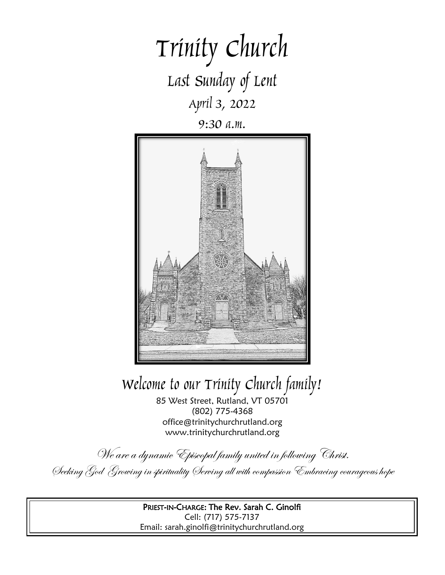# Trinity Church Last Sunday of Lent April 3, 2022

9:30 a.m.



## Welcome to our Trinity Church family!

85 West Street, Rutland, VT 05701 (802) 775-4368 office@trinitychurchrutland.org www.trinitychurchrutland.org

We are a dynamic Episcopal family united in following Christ.

Seeking God Growing in spirituality Serving all with compassion Embracing courageous hope

PRIEST-IN-CHARGE: The Rev. Sarah C. Ginolfi Cell: (717) 575-7137 Email: sarah.ginolfi@trinitychurchrutland.org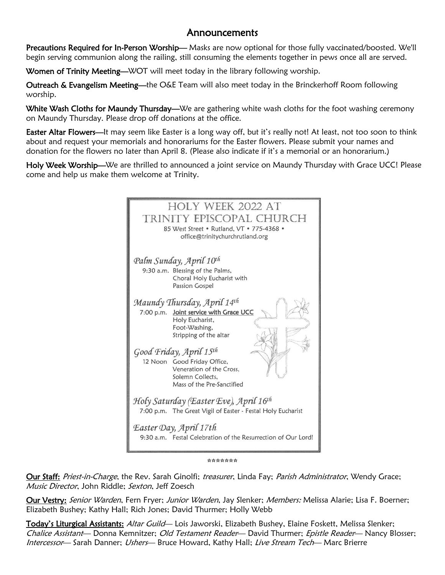### Announcements

Precautions Required for In-Person Worship— Masks are now optional for those fully vaccinated/boosted. We'll begin serving communion along the railing, still consuming the elements together in pews once all are served.

Women of Trinity Meeting—WOT will meet today in the library following worship.

Outreach & Evangelism Meeting—the O&E Team will also meet today in the Brinckerhoff Room following worship.

White Wash Cloths for Maundy Thursday—We are gathering white wash cloths for the foot washing ceremony on Maundy Thursday. Please drop off donations at the office.

Easter Altar Flowers—It may seem like Easter is a long way off, but it's really not! At least, not too soon to think about and request your memorials and honorariums for the Easter flowers. Please submit your names and donation for the flowers no later than April 8. (Please also indicate if it's a memorial or an honorarium.)

Holy Week Worship—We are thrilled to announced a joint service on Maundy Thursday with Grace UCC! Please come and help us make them welcome at Trinity.



Our Staff: Priest-in-Charge, the Rev. Sarah Ginolfi; treasurer, Linda Fay; Parish Administrator, Wendy Grace; Music Director, John Riddle; Sexton, Jeff Zoesch

Our Vestry: Senior Warden, Fern Fryer; Junior Warden, Jay Slenker; Members: Melissa Alarie; Lisa F. Boerner; Elizabeth Bushey; Kathy Hall; Rich Jones; David Thurmer; Holly Webb

Today's Liturgical Assistants: Altar Guild— Lois Jaworski, Elizabeth Bushey, Elaine Foskett, Melissa Slenker; Chalice Assistant— Donna Kemnitzer; Old Testament Reader— David Thurmer; Epistle Reader— Nancy Blosser; Intercessor— Sarah Danner; Ushers— Bruce Howard, Kathy Hall; Live Stream Tech— Marc Brierre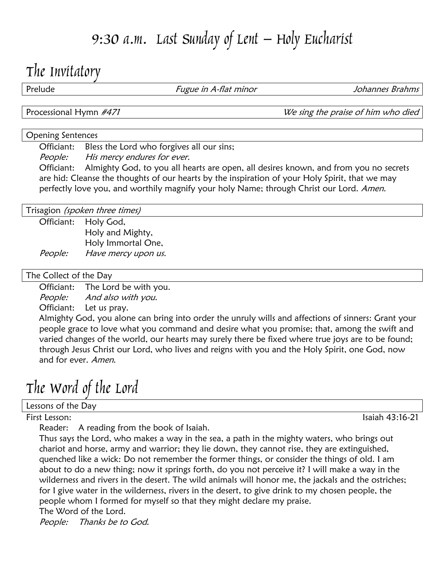## 9:30 a.m. Last Sunday of Lent – Holy Eucharist

### The Invitatory

Prelude **Fugue in A-flat minor Fugue in A-flat minor** *Johannes Brahms* 

Processional Hymn #471 Merry 2012 11: A straight we straight we sing the praise of him who died

#### Opening Sentences

Officiant: Bless the Lord who forgives all our sins;

People: His mercy endures for ever.

Officiant: Almighty God, to you all hearts are open, all desires known, and from you no secrets are hid: Cleanse the thoughts of our hearts by the inspiration of your Holy Spirit, that we may perfectly love you, and worthily magnify your holy Name; through Christ our Lord. Amen.

Trisagion (spoken three times)

Officiant: Holy God, Holy and Mighty, Holy Immortal One, People: Have mercy upon us.

#### The Collect of the Day

Officiant: The Lord be with you.

People: And also with you.

Officiant: Let us pray.

Almighty God, you alone can bring into order the unruly wills and affections of sinners: Grant your people grace to love what you command and desire what you promise; that, among the swift and varied changes of the world, our hearts may surely there be fixed where true joys are to be found; through Jesus Christ our Lord, who lives and reigns with you and the Holy Spirit, one God, now and for ever. Amen.

### The Word of the Lord

Lessons of the Day

Reader: A reading from the book of Isaiah.

Thus says the Lord, who makes a way in the sea, a path in the mighty waters, who brings out chariot and horse, army and warrior; they lie down, they cannot rise, they are extinguished, quenched like a wick: Do not remember the former things, or consider the things of old. I am about to do a new thing; now it springs forth, do you not perceive it? I will make a way in the wilderness and rivers in the desert. The wild animals will honor me, the jackals and the ostriches; for I give water in the wilderness, rivers in the desert, to give drink to my chosen people, the people whom I formed for myself so that they might declare my praise.

The Word of the Lord.

People: Thanks be to God.

First Lesson: Isaiah 43:16-21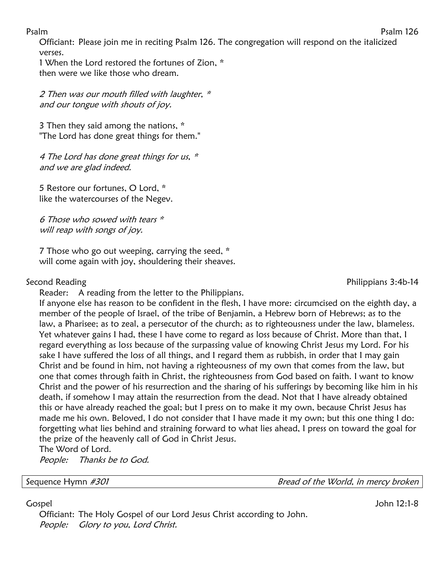Officiant: Please join me in reciting Psalm 126. The congregation will respond on the italicized verses.

1 When the Lord restored the fortunes of Zion, \* then were we like those who dream.

2 Then was our mouth filled with laughter, \* and our tongue with shouts of joy.

3 Then they said among the nations, \* "The Lord has done great things for them."

4 The Lord has done great things for us, \* and we are glad indeed.

5 Restore our fortunes, O Lord, \* like the watercourses of the Negev.

6 Those who sowed with tears \* will reap with songs of joy.

7 Those who go out weeping, carrying the seed, \* will come again with joy, shouldering their sheaves.

Reader: A reading from the letter to the Philippians.

Second Reading Philippians 3:4b-14

If anyone else has reason to be confident in the flesh, I have more: circumcised on the eighth day, a member of the people of Israel, of the tribe of Benjamin, a Hebrew born of Hebrews; as to the law, a Pharisee; as to zeal, a persecutor of the church; as to righteousness under the law, blameless. Yet whatever gains I had, these I have come to regard as loss because of Christ. More than that, I regard everything as loss because of the surpassing value of knowing Christ Jesus my Lord. For his sake I have suffered the loss of all things, and I regard them as rubbish, in order that I may gain Christ and be found in him, not having a righteousness of my own that comes from the law, but one that comes through faith in Christ, the righteousness from God based on faith. I want to know Christ and the power of his resurrection and the sharing of his sufferings by becoming like him in his death, if somehow I may attain the resurrection from the dead. Not that I have already obtained this or have already reached the goal; but I press on to make it my own, because Christ Jesus has made me his own. Beloved, I do not consider that I have made it my own; but this one thing I do: forgetting what lies behind and straining forward to what lies ahead, I press on toward the goal for the prize of the heavenly call of God in Christ Jesus.

The Word of Lord.

People: Thanks be to God.

Sequence Hymn #301 Bread of the World, in mercy broken

Officiant: The Holy Gospel of our Lord Jesus Christ according to John. People: Glory to you, Lord Christ.

Gospel John 12:1-8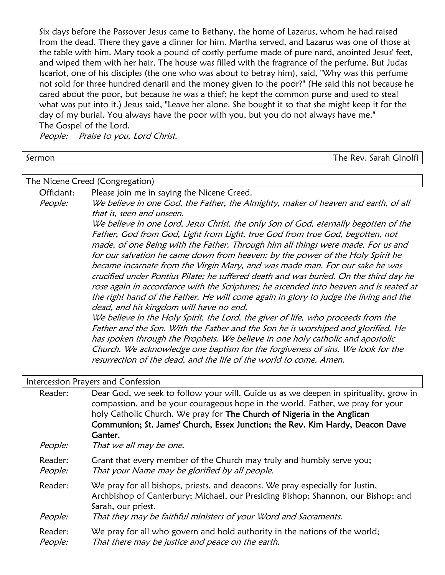Six days before the Passover Jesus came to Bethany, the home of Lazarus, whom he had raised from the dead. There they gave a dinner for him. Martha served, and Lazarus was one of those at the table with him. Mary took a pound of costly perfume made of pure nard, anointed Jesus' feet, and wiped them with her hair. The house was filled with the fragrance of the perfume. But Judas Iscariot, one of his disciples (the one who was about to betray him), said, "Why was this perfume not sold for three hundred denarii and the money given to the poor?" (He said this not because he cared about the poor, but because he was a thief; he kept the common purse and used to steal what was put into it.) Jesus said, "Leave her alone. She bought it so that she might keep it for the day of my burial. You always have the poor with you, but you do not always have me." The Gospel of the Lord.

People: Praise to you, Lord Christ.

| Sermon | -<br>$\mathbf{r}$<br>. .<br>arab د<br>$\sim$<br><sub>ne</sub><br>Rev<br>ЭĦ<br>۱۱۱۰ اب |
|--------|---------------------------------------------------------------------------------------|
|        |                                                                                       |

#### The Nicene Creed (Congregation)

Officiant: Please join me in saying the Nicene Creed.

People: We believe in one God, the Father, the Almighty, maker of heaven and earth, of all that is, seen and unseen.

We believe in one Lord, Jesus Christ, the only Son of God, eternally begotten of the Father, God from God, Light from Light, true God from true God, begotten, not made, of one Being with the Father. Through him all things were made. For us and for our salvation he came down from heaven: by the power of the Holy Spirit he became incarnate from the Virgin Mary, and was made man. For our sake he was crucified under Pontius Pilate; he suffered death and was buried. On the third day he rose again in accordance with the Scriptures; he ascended into heaven and is seated at the right hand of the Father. He will come again in glory to judge the living and the dead, and his kingdom will have no end. We believe in the Holy Spirit, the Lord, the giver of life, who proceeds from the Father and the Son. With the Father and the Son he is worshiped and glorified. He has spoken through the Prophets. We believe in one holy catholic and apostolic Church. We acknowledge one baptism for the forgiveness of sins. We look for the

Intercession Prayers and Confession

| Reader:            | Dear God, we seek to follow your will. Guide us as we deepen in spirituality, grow in<br>compassion, and be your courageous hope in the world. Father, we pray for your<br>holy Catholic Church. We pray for The Church of Nigeria in the Anglican<br>Communion; St. James' Church, Essex Junction; the Rev. Kim Hardy, Deacon Dave<br>Ganter. |
|--------------------|------------------------------------------------------------------------------------------------------------------------------------------------------------------------------------------------------------------------------------------------------------------------------------------------------------------------------------------------|
| People:            | That we all may be one.                                                                                                                                                                                                                                                                                                                        |
| Reader:<br>People: | Grant that every member of the Church may truly and humbly serve you;<br>That your Name may be glorified by all people.                                                                                                                                                                                                                        |
| Reader:<br>People: | We pray for all bishops, priests, and deacons. We pray especially for Justin,<br>Archbishop of Canterbury; Michael, our Presiding Bishop; Shannon, our Bishop; and<br>Sarah, our priest.<br>That they may be faithful ministers of your Word and Sacraments.                                                                                   |
| Reader:            | We pray for all who govern and hold authority in the nations of the world;                                                                                                                                                                                                                                                                     |
| People:            | That there may be justice and peace on the earth.                                                                                                                                                                                                                                                                                              |

resurrection of the dead, and the life of the world to come. Amen.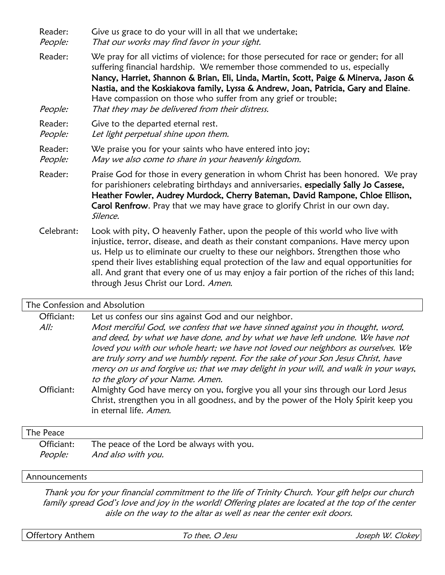Reader: Give us grace to do your will in all that we undertake; People: That our works may find favor in your sight. Reader: We pray for all victims of violence; for those persecuted for race or gender; for all suffering financial hardship. We remember those commended to us, especially Nancy, Harriet, Shannon & Brian, Eli, Linda, Martin, Scott, Paige & Minerva, Jason & Nastia, and the Koskiakova family, Lyssa & Andrew, Joan, Patricia, Gary and Elaine. Have compassion on those who suffer from any grief or trouble; People: That they may be delivered from their distress. Reader: Give to the departed eternal rest. People: Let light perpetual shine upon them. Reader: We praise you for your saints who have entered into joy; People: May we also come to share in your heavenly kingdom. Reader: Praise God for those in every generation in whom Christ has been honored. We pray for parishioners celebrating birthdays and anniversaries, especially Sally Jo Cassese, Heather Fowler, Audrey Murdock, Cherry Bateman, David Rampone, Chloe Ellison, Carol Renfrow. Pray that we may have grace to glorify Christ in our own day. Silence. Celebrant: Look with pity, O heavenly Father, upon the people of this world who live with

injustice, terror, disease, and death as their constant companions. Have mercy upon us. Help us to eliminate our cruelty to these our neighbors. Strengthen those who spend their lives establishing equal protection of the law and equal opportunities for all. And grant that every one of us may enjoy a fair portion of the riches of this land; through Jesus Christ our Lord. Amen.

#### The Confession and Absolution

| Officiant: | Let us confess our sins against God and our neighbor.                                |
|------------|--------------------------------------------------------------------------------------|
| All:       | Most merciful God, we confess that we have sinned against you in thought, word,      |
|            | and deed, by what we have done, and by what we have left undone. We have not         |
|            | loved you with our whole heart; we have not loved our neighbors as ourselves. We     |
|            | are truly sorry and we humbly repent. For the sake of your Son Jesus Christ, have    |
|            | mercy on us and forgive us; that we may delight in your will, and walk in your ways, |
|            | to the glory of your Name. Amen.                                                     |
| Officiant: | Almighty God have mercy on you, forgive you all your sins through our Lord Jesus     |
|            | Christ, strengthen you in all goodness, and by the power of the Holy Spirit keep you |
|            | in eternal life. Amen.                                                               |

#### The Peace

| Officiant:     | The peace of the Lord be always with you. |
|----------------|-------------------------------------------|
| <i>People:</i> | And also with you.                        |

#### Announcements

Thank you for your financial commitment to the life of Trinity Church. Your gift helps our church family spread God's love and joy in the world! Offering plates are located at the top of the center aisle on the way to the altar as well as near the center exit doors.

Offertory Anthem To thee, O Jesu Joseph W. Clokey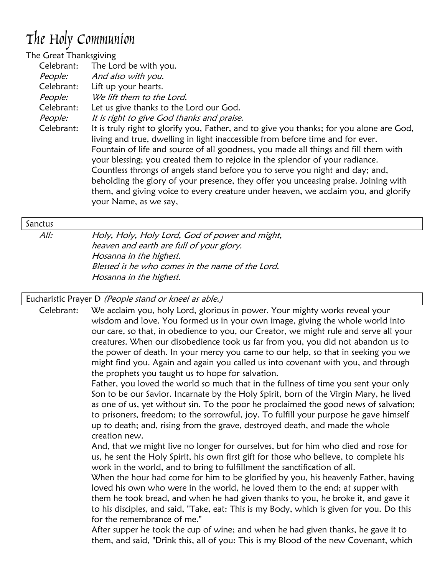### The Holy Communion

| The Great Thanksgiving |                                                                                                                                                                                                                                                                                                                                                                                                                                                                                                                                                                                                                                          |
|------------------------|------------------------------------------------------------------------------------------------------------------------------------------------------------------------------------------------------------------------------------------------------------------------------------------------------------------------------------------------------------------------------------------------------------------------------------------------------------------------------------------------------------------------------------------------------------------------------------------------------------------------------------------|
| Celebrant:             | The Lord be with you.                                                                                                                                                                                                                                                                                                                                                                                                                                                                                                                                                                                                                    |
| People:                | And also with you.                                                                                                                                                                                                                                                                                                                                                                                                                                                                                                                                                                                                                       |
| Celebrant:             | Lift up your hearts.                                                                                                                                                                                                                                                                                                                                                                                                                                                                                                                                                                                                                     |
| People:                | We lift them to the Lord.                                                                                                                                                                                                                                                                                                                                                                                                                                                                                                                                                                                                                |
| Celebrant:             | Let us give thanks to the Lord our God.                                                                                                                                                                                                                                                                                                                                                                                                                                                                                                                                                                                                  |
| People:                | It is right to give God thanks and praise.                                                                                                                                                                                                                                                                                                                                                                                                                                                                                                                                                                                               |
| Celebrant:             | It is truly right to glorify you, Father, and to give you thanks; for you alone are God,<br>living and true, dwelling in light inaccessible from before time and for ever.<br>Fountain of life and source of all goodness, you made all things and fill them with<br>your blessing; you created them to rejoice in the splendor of your radiance.<br>Countless throngs of angels stand before you to serve you night and day; and,<br>beholding the glory of your presence, they offer you unceasing praise. Joining with<br>them, and giving voice to every creature under heaven, we acclaim you, and glorify<br>your Name, as we say, |
|                        |                                                                                                                                                                                                                                                                                                                                                                                                                                                                                                                                                                                                                                          |

#### Sanctus

All: Holy, Holy, Holy Lord, God of power and might, heaven and earth are full of your glory. Hosanna in the highest. Blessed is he who comes in the name of the Lord. Hosanna in the highest.

#### Eucharistic Prayer D (People stand or kneel as able.)

Celebrant: We acclaim you, holy Lord, glorious in power. Your mighty works reveal your wisdom and love. You formed us in your own image, giving the whole world into our care, so that, in obedience to you, our Creator, we might rule and serve all your creatures. When our disobedience took us far from you, you did not abandon us to the power of death. In your mercy you came to our help, so that in seeking you we might find you. Again and again you called us into covenant with you, and through the prophets you taught us to hope for salvation.

Father, you loved the world so much that in the fullness of time you sent your only Son to be our Savior. Incarnate by the Holy Spirit, born of the Virgin Mary, he lived as one of us, yet without sin. To the poor he proclaimed the good news of salvation; to prisoners, freedom; to the sorrowful, joy. To fulfill your purpose he gave himself up to death; and, rising from the grave, destroyed death, and made the whole creation new.

And, that we might live no longer for ourselves, but for him who died and rose for us, he sent the Holy Spirit, his own first gift for those who believe, to complete his work in the world, and to bring to fulfillment the sanctification of all.

When the hour had come for him to be glorified by you, his heavenly Father, having loved his own who were in the world, he loved them to the end; at supper with them he took bread, and when he had given thanks to you, he broke it, and gave it to his disciples, and said, "Take, eat: This is my Body, which is given for you. Do this for the remembrance of me."

After supper he took the cup of wine; and when he had given thanks, he gave it to them, and said, "Drink this, all of you: This is my Blood of the new Covenant, which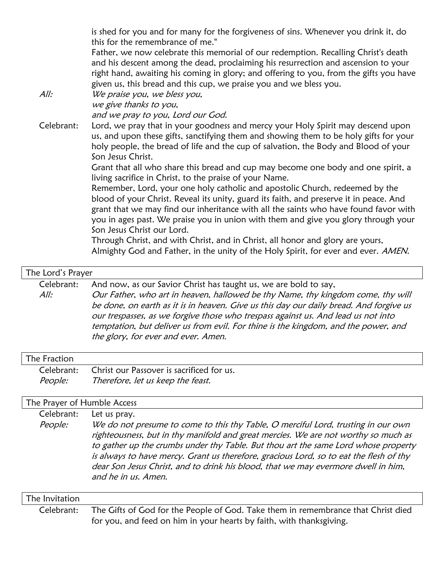is shed for you and for many for the forgiveness of sins. Whenever you drink it, do this for the remembrance of me."

Father, we now celebrate this memorial of our redemption. Recalling Christ's death and his descent among the dead, proclaiming his resurrection and ascension to your right hand, awaiting his coming in glory; and offering to you, from the gifts you have given us, this bread and this cup, we praise you and we bless you.

All: We praise you, we bless you, we give thanks to you, and we pray to you, Lord our God.

Celebrant: Lord, we pray that in your goodness and mercy your Holy Spirit may descend upon us, and upon these gifts, sanctifying them and showing them to be holy gifts for your holy people, the bread of life and the cup of salvation, the Body and Blood of your Son Jesus Christ.

> Grant that all who share this bread and cup may become one body and one spirit, a living sacrifice in Christ, to the praise of your Name.

Remember, Lord, your one holy catholic and apostolic Church, redeemed by the blood of your Christ. Reveal its unity, guard its faith, and preserve it in peace. And grant that we may find our inheritance with all the saints who have found favor with you in ages past. We praise you in union with them and give you glory through your Son Jesus Christ our Lord.

Through Christ, and with Christ, and in Christ, all honor and glory are yours, Almighty God and Father, in the unity of the Holy Spirit, for ever and ever. AMEN.

#### The Lord's Prayer

Celebrant: And now, as our Savior Christ has taught us, we are bold to say,

All: Our Father, who art in heaven, hallowed be thy Name, thy kingdom come, thy will be done, on earth as it is in heaven. Give us this day our daily bread. And forgive us our trespasses, as we forgive those who trespass against us. And lead us not into temptation, but deliver us from evil. For thine is the kingdom, and the power, and the glory, for ever and ever. Amen.

#### The Fraction

|                | Celebrant: Christ our Passover is sacrificed for us. |
|----------------|------------------------------------------------------|
| <i>People:</i> | Therefore, let us keep the feast.                    |

#### The Prayer of Humble Access

Celebrant: Let us pray.

People: We do not presume to come to this thy Table, O merciful Lord, trusting in our own righteousness, but in thy manifold and great mercies. We are not worthy so much as to gather up the crumbs under thy Table. But thou art the same Lord whose property is always to have mercy. Grant us therefore, gracious Lord, so to eat the flesh of thy dear Son Jesus Christ, and to drink his blood, that we may evermore dwell in him, and he in us. Amen.

#### The Invitation

Celebrant: The Gifts of God for the People of God. Take them in remembrance that Christ died for you, and feed on him in your hearts by faith, with thanksgiving.